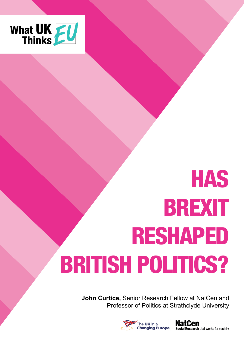

# HAS BREXIT RESHAPED BRITISH POLITICS?

**John Curtice,** Senior Research Fellow at NatCen and Professor of Politics at Strathclyde University



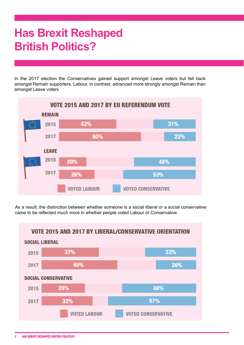# **Has Brexit Reshaped British Politics?**

In the 2017 election the Conservatives gained support amongst Leave voters but fell back amongst Remain supporters. Labour, in contrast, advanced more strongly amongst Remain than amongst Leave voters



As a result, the distinction between whether someone is a social liberal or a social conservative came to be reflected much more in whether people voted Labour or Conservative.

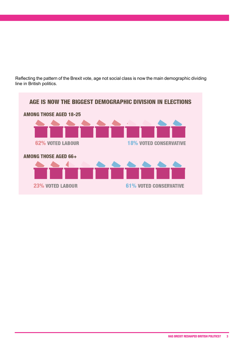Reflecting the pattern of the Brexit vote, age not social class is now the main demographic dividing line in British politics.

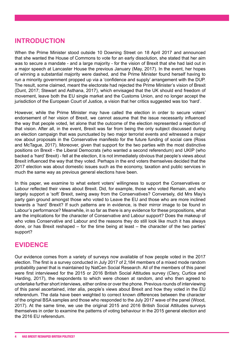# **INTRODUCTION**

When the Prime Minister stood outside 10 Downing Street on 18 April 2017 and announced that she wanted the House of Commons to vote for an early dissolution, she stated that her aim was to secure a mandate - and a large majority - for the vision of Brexit that she had laid out in a major speech at Lancaster House the previous January (May, 2017). In the event, her hopes of winning a substantial majority were dashed, and the Prime Minister found herself having to run a minority government propped up via a 'confidence and supply' arrangement with the DUP. The result, some claimed, meant the electorate had rejected the Prime Minister's vision of Brexit (Dunt, 2017; Stewart and Asthana, 2017), which envisaged that the UK should end freedom of movement, leave both the EU single market and the Customs Union, and no longer accept the jurisdiction of the European Court of Justice, a vision that her critics suggested was too 'hard'.

However, while the Prime Minister may have called the election in order to secure voters' endorsement of her vision of Brexit, we cannot assume that the issue necessarily influenced the way that people voted, let alone that the outcome of the election represented a rejection of that vision. After all, in the event, Brexit was far from being the only subject discussed during an election campaign that was punctuated by two major terrorist events and witnessed a major row about proposals in the Conservative manifesto for the future funding of social care (Ross and McTague, 2017). Moreover, given that support for the two parties with the most distinctive positions on Brexit - the Liberal Democrats (who wanted a second referendum) and UKIP (who backed a 'hard' Brexit) - fell at the election, it is not immediately obvious that people's views about Brexit influenced the way that they voted. Perhaps in the end voters themselves decided that the 2017 election was about domestic issues such as the economy, taxation and public services in much the same way as previous general elections have been.

In this paper, we examine to what extent voters' willingness to support the Conservatives or Labour reflected their views about Brexit. Did, for example, those who voted Remain, and who largely support a 'soft' Brexit, swing away from the Conservatives? Conversely, did Mrs May's party gain ground amongst those who voted to Leave the EU and those who are more inclined towards a 'hard' Brexit? If such patterns are in evidence, is their mirror image to be found in Labour's performance? Meanwhile, in so far as there is any evidence for these propositions, what are the implications for the character of Conservative and Labour support? Does the makeup of who votes Conservative and Labour and the reasons they do still look like much it has always done, or has Brexit reshaped – for the time being at least – the character of the two parties' support?

## **EVIDENCE**

Our evidence comes from a variety of surveys now available of how people voted in the 2017 election. The first is a survey conducted in July 2017 of 2,184 members of a mixed mode random probability panel that is maintained by NatCen Social Research. All of the members of this panel were first interviewed for the 2015 or 2016 British Social Attitudes survey (Clery, Curtice and Harding, 2017), the respondents to which were chosen at random, and who then agreed to undertake further short interviews, either online or over the phone. Previous rounds of interviewing of this panel ascertained, inter alia, people's views about Brexit and how they voted in the EU referendum. The data have been weighted to correct known differences between the character of the original BSA samples and those who responded to the July 2017 wave of the panel (Wood, 2017). At the same time, we use the original 2015 and 2016 British Social Attitudes surveys themselves in order to examine the patterns of voting behaviour in the 2015 general election and the 2016 EU referendum.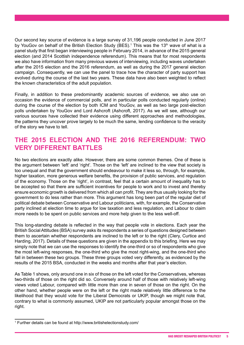Our second key source of evidence is a large survey of 31,196 people conducted in June 2017 by YouGov on behalf of the British Election Study (BES).<sup>1</sup> This was the 13<sup>th</sup> wave of what is a panel study that first began interviewing people in February 2014, in advance of the 2015 general election (and 2014 Scottish independence referendum). This means that for most respondents we also have information from many previous waves of interviewing, including waves undertaken after the 2015 election and the 2016 referendum, as well as during the 2017 general election campaign. Consequently, we can use the panel to trace how the character of party support has evolved during the course of the last two years. These data have also been weighted to reflect the known characteristics of the adult population.

Finally, in addition to these predominantly academic sources of evidence, we also use on occasion the evidence of commercial polls, and in particular polls conducted regularly (online) during the course of the election by both ICM and YouGov, as well as two large post-election polls undertaken by YouGov and Lord Ashcroft (Ashcroft, 2017). As we will see, although our various sources have collected their evidence using different approaches and methodologies, the patterns they uncover prove largely to be much the same, lending confidence to the veracity of the story we have to tell.

# **THE 2015 ELECTION AND THE 2016 REFERENDUM: TWO VERY DIFFERENT BATTLES**

No two elections are exactly alike. However, there are some common themes. One of these is the argument between 'left' and 'right'. Those on the 'left' are inclined to the view that society is too unequal and that the government should endeavour to make it less so, through, for example, higher taxation, more generous welfare benefits, the provision of public services, and regulation of the economy. Those on the 'right', in contrast, feel that a certain amount of inequality has to be accepted so that there are sufficient incentives for people to work and to invest and thereby ensure economic growth is delivered from which all can profit. They are thus usually looking for the government to do less rather than more. This argument has long been part of the regular diet of political debate between Conservative and Labour politicians, with, for example, the Conservative party inclined at election time to argue for low taxation and less regulation, and Labour to claim more needs to be spent on public services and more help given to the less well-off.

This long-standing debate is reflected in the way that people vote in elections. Each year the British Social Attitudes (BSA) survey asks its respondents a series of questions designed between them to ascertain whether respondents are inclined to the left or to the right (Clery, Curtice and Harding, 2017). Details of these questions are given in the appendix to this briefing. Here we may simply note that we can use the responses to identify the one-third or so of respondents who give the most left-wing responses, the one-third who give the most right-wing, and the one-third who fall in between these two groups. These three groups voted very differently, as evidenced by the results of the 2015 BSA, conducted in the weeks and months after that year's election.

As Table 1 shows, only around one in six of those on the left voted for the Conservatives, whereas two-thirds of those on the right did so. Conversely around half of those with relatively left-wing views voted Labour, compared with little more than one in seven of those on the right. On the other hand, whether people were on the left or the right made relatively little difference to the likelihood that they would vote for the Liberal Democrats or UKIP, though we might note that, contrary to what is commonly assumed, UKIP are not particularly popular amongst those on the right.

<sup>1</sup> Further details can be found at http://www.britishelectionstudy.com/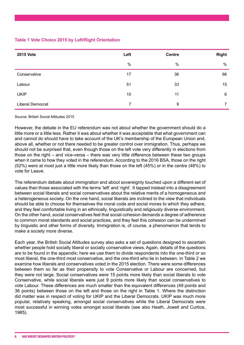#### **Table 1 Vote Choice 2015 by Left/Right Orientation**

| <b>2015 Vote</b> | Left | <b>Centre</b> | <b>Right</b> |
|------------------|------|---------------|--------------|
|                  | %    | $\%$          | $\%$         |
| Conservative     | 17   | 36            | 66           |
| Labour           | 51   | 33            | 15           |
| <b>UKIP</b>      | 10   | 11            | 6            |
| Liberal Democrat | 7    | 9             | 7            |

Source: British Social Attitudes 2015

However, the debate in the EU referendum was not about whether the government should do a little more or a little less. Rather it was about whether it was acceptable that what government can and cannot do should have to take account of the UK's membership of the European Union and, above all, whether or not there needed to be greater control over immigration. Thus, perhaps we should not be surprised that, even though those on the left vote very differently in elections from those on the right – and vice-versa – there was very little difference between these two groups when it came to how they voted in the referendum. According to the 2016 BSA, those on the right (52%) were at most just a little more likely than those on the left (45%) or in the centre (48%) to vote for Leave.

The referendum debate about immigration and about sovereignty touched upon a different set of values than those associated with the terms 'left' and 'right'. It tapped instead into a disagreement between social liberals and social conservatives about the relative merits of a homogeneous and a heterogeneous society. On the one hand, social liberals are inclined to the view that individuals should be able to choose for themselves the moral code and social mores to which they adhere, and they feel comfortable living in an ethnically, linguistically and religiously diverse environment. On the other hand, social conservatives feel that social cohesion demands a degree of adherence to common moral standards and social practices, and they feel this cohesion can be undermined by linguistic and other forms of diversity. Immigration is, of course, a phenomenon that tends to make a society more diverse.

Each year, the British Social Attitudes survey also asks a set of questions designed to ascertain whether people hold socially liberal or socially conservative views. Again, details of the questions are to be found in the appendix; here we use them to divide respondents into the one-third or so most liberal, the one-third most conservative, and the one-third who lie in between. In Table 2 we examine how liberals and conservatives voted in the 2015 election. There were some differences between them so far as their propensity to vote Conservative or Labour are concerned, but they were not large. Social conservatives were 15 points more likely than social liberals to vote Conservative, while social liberals were just 9 points more likely than social conservatives to vote Labour. These differences are much smaller than the equivalent differences (49 points and 36 points) between those on the left and those on the right in Table 1. Where the distinction did matter was in respect of voting for UKIP and the Liberal Democrats. UKIP was much more popular, relatively speaking, amongst social conservatives while the Liberal Democrats were most successful in winning votes amongst social liberals (see also Heath, Jowell and Curtice, 1985).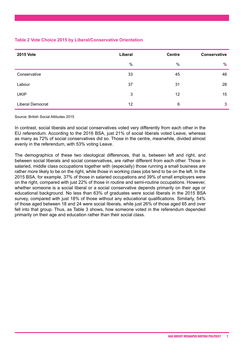#### **Table 2 Vote Choice 2015 by Liberal/Conservative Orientation**

| <b>2015 Vote</b> | Liberal | <b>Centre</b> | Conservative |
|------------------|---------|---------------|--------------|
|                  | $\%$    | %             | %            |
| Conservative     | 33      | 45            | 48           |
| Labour           | 37      | 31            | 28           |
| <b>UKIP</b>      | 3       | 12            | 15           |
| Liberal Democrat | 12      | 6             | 3            |

#### Source: British Social Attitudes 2015

In contrast, social liberals and social conservatives voted very differently from each other in the EU referendum. According to the 2016 BSA, just 21% of social liberals voted Leave, whereas as many as 72% of social conservatives did so. Those in the centre, meanwhile, divided almost evenly in the referendum, with 53% voting Leave.

The demographics of these two ideological differences, that is, between left and right, and between social liberals and social conservatives, are rather different from each other. Those in salaried, middle class occupations together with (especially) those running a small business are rather more likely to be on the right, while those in working class jobs tend to be on the left. In the 2015 BSA, for example, 37% of those in salaried occupations and 39% of small employers were on the right, compared with just 22% of those in routine and semi-routine occupations. However, whether someone is a social liberal or a social conservative depends primarily on their age or educational background. No less than 63% of graduates were social liberals in the 2015 BSA survey, compared with just 18% of those without any educational qualifications. Similarly, 54% of those aged between 18 and 24 were social liberals, while just 26% of those aged 65 and over fell into that group. Thus, as Table 3 shows, how someone voted in the referendum depended primarily on their age and education rather than their social class.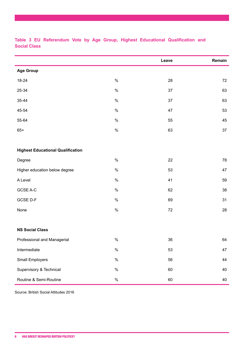|                                          |      | Leave | Remain |
|------------------------------------------|------|-------|--------|
| <b>Age Group</b>                         |      |       |        |
| 18-24                                    | $\%$ | 28    | 72     |
| 25-34                                    | $\%$ | 37    | 63     |
| 35-44                                    | $\%$ | 37    | 63     |
| 45-54                                    | $\%$ | 47    | 53     |
| 55-64                                    | $\%$ | 55    | 45     |
| $65+$                                    | $\%$ | 63    | 37     |
|                                          |      |       |        |
| <b>Highest Educational Qualification</b> |      |       |        |
| Degree                                   | $\%$ | 22    | 78     |
| Higher education below degree            | $\%$ | 53    | 47     |
| A Level                                  | $\%$ | 41    | 59     |
| GCSE A-C                                 | $\%$ | 62    | 38     |
| GCSE D-F                                 | $\%$ | 69    | 31     |
| None                                     | $\%$ | 72    | 28     |
|                                          |      |       |        |
| <b>NS Social Class</b>                   |      |       |        |
| Professional and Managerial              | %    | 36    | 64     |
| Intermediate                             | $\%$ | 53    | 47     |
| Small Employers                          | $\%$ | 56    | 44     |
| Supervisory & Technical                  | $\%$ | 60    | 40     |
| Routine & Semi-Routine                   | $\%$ | 60    | 40     |

**Table 3 EU Referendum Vote by Age Group, Highest Educational Qualification and Social Class**

Source: British Social Attitudes 2016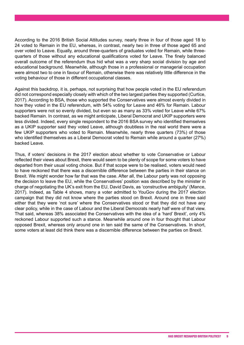According to the 2016 British Social Attitudes survey, nearly three in four of those aged 18 to 24 voted to Remain in the EU, whereas, in contrast, nearly two in three of those aged 65 and over voted to Leave. Equally, around three-quarters of graduates voted for Remain, while threequarters of those without any educational qualifications voted for Leave. The finely balanced overall outcome of the referendum thus hid what was a very sharp social division by age and educational background. Meanwhile, although those in a professional or managerial occupation were almost two to one in favour of Remain, otherwise there was relatively little difference in the voting behaviour of those in different occupational classes.

Against this backdrop, it is, perhaps, not surprising that how people voted in the EU referendum did not correspond especially closely with which of the two largest parties they supported (Curtice, 2017). According to BSA, those who supported the Conservatives were almost evenly divided in how they voted in the EU referendum, with 54% voting for Leave and 46% for Remain. Labour supporters were not so evenly divided, but even so as many as 33% voted for Leave while 67% backed Remain. In contrast, as we might anticipate, Liberal Democrat and UKIP supporters were less divided. Indeed, every single respondent to the 2016 BSA survey who identified themselves as a UKIP supporter said they voted Leave, although doubtless in the real world there were a few UKIP supporters who voted to Remain. Meanwhile, nearly three quarters (73%) of those who identified themselves as a Liberal Democrat voted to Remain while around a quarter (27%) backed Leave.

Thus, if voters' decisions in the 2017 election about whether to vote Conservative or Labour reflected their views about Brexit, there would seem to be plenty of scope for some voters to have departed from their usual voting choice. But if that scope were to be realised, voters would need to have reckoned that there was a discernible difference between the parties in their stance on Brexit. We might wonder how far that was the case. After all, the Labour party was not opposing the decision to leave the EU, while the Conservatives' position was described by the minister in charge of negotiating the UK's exit from the EU, David Davis, as 'constructive ambiguity' (Mance, 2017). Indeed, as Table 4 shows, many a voter admitted to YouGov during the 2017 election campaign that they did not know where the parties stood on Brexit. Around one in three said either that they were 'not sure' where the Conservatives stood or that they did not have any clear policy, while in the case of Labour and the Liberal Democrats nearly half were of that view. That said, whereas 38% associated the Conservatives with the idea of a 'hard' Brexit', only 4% reckoned Labour supported such a stance. Meanwhile around one in four thought that Labour opposed Brexit, whereas only around one in ten said the same of the Conservatives. In short, some voters at least did think there was a discernible difference between the parties on Brexit.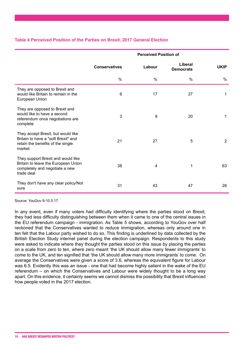#### **Table 4 Perceived Position of the Parties on Brexit, 2017 General Election**

|                                                                                                                           | <b>Perceived Position of</b> |        |                             |             |  |  |
|---------------------------------------------------------------------------------------------------------------------------|------------------------------|--------|-----------------------------|-------------|--|--|
|                                                                                                                           | <b>Conservatives</b>         | Labour | Liberal<br><b>Democrats</b> | <b>UKIP</b> |  |  |
|                                                                                                                           | $\%$                         | %      | %                           | %           |  |  |
| They are opposed to Brexit and<br>would like Britain to remain in the<br>European Union                                   | 6                            | 17     | 27                          | 1           |  |  |
| They are opposed to Brexit and<br>would like to have a second<br>referendum once negotiations are<br>complete             | 3                            | 9      | 20                          | 1           |  |  |
| They accept Brexit, but would like<br>Britain to have a "soft Brexit" and<br>retain the benefits of the single<br>market  | 21                           | 27     | 5                           | 2           |  |  |
| They support Brexit and would like<br>Britain to leave the European Union<br>completely and negotiate a new<br>trade deal | 38                           | 4      | 1                           | 63          |  |  |
| They don't have any clear policy/Not<br>sure                                                                              | 31                           | 43     | 47                          | 28          |  |  |

Source: YouGov 9-10.5.17

In any event, even if many voters had difficulty identifying where the parties stood on Brexit, they had less difficulty distinguishing between them when it came to one of the central issues in the EU referendum campaign - immigration. As Table 5 shows, according to YouGov over half reckoned that the Conservatives wanted to reduce immigration, whereas only around one in ten felt that the Labour party wished to do so. This finding is underlined by data collected by the British Election Study internet panel during the election campaign. Respondents to this study were asked to indicate where they thought the parties stood on this issue by placing the parties on a scale from zero to ten, where zero meant 'the UK should allow many fewer immigrants' to come to the UK, and ten signified that 'the UK should allow many more immigrants' to come. On average the Conservatives were given a score of 3.6, whereas the equivalent figure for Labour was 6.5. Evidently this was an issue - one that had become highly salient in the wake of the EU referendum – on which the Conservatives and Labour were widely thought to be a long way apart. On this evidence, it certainly seems we cannot dismiss the possibility that Brexit influenced how people voted in the 2017 election.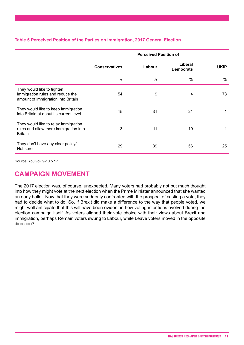#### **Table 5 Perceived Position of the Parties on Immigration, 2017 General Election**

|                                                                                                      | <b>Perceived Position of</b> |        |                             |             |  |  |
|------------------------------------------------------------------------------------------------------|------------------------------|--------|-----------------------------|-------------|--|--|
|                                                                                                      | <b>Conservatives</b>         | Labour | Liberal<br><b>Democrats</b> | <b>UKIP</b> |  |  |
|                                                                                                      | %                            | %      | $\%$                        | %           |  |  |
| They would like to tighten<br>immigration rules and reduce the<br>amount of immigration into Britain | 54                           | 9      | 4                           | 73          |  |  |
| They would like to keep immigration<br>into Britain at about its current level                       | 15                           | 31     | 21                          |             |  |  |
| They would like to relax immigration<br>rules and allow more immigration into<br><b>Britain</b>      | 3                            | 11     | 19                          |             |  |  |
| They don't have any clear policy/<br>Not sure                                                        | 29                           | 39     | 56                          | 25          |  |  |

Source: YouGov 9-10.5.17

# **CAMPAIGN MOVEMENT**

The 2017 election was, of course, unexpected. Many voters had probably not put much thought into how they might vote at the next election when the Prime Minister announced that she wanted an early ballot. Now that they were suddenly confronted with the prospect of casting a vote, they had to decide what to do. So, if Brexit did make a difference to the way that people voted, we might well anticipate that this will have been evident in how voting intentions evolved during the election campaign itself. As voters aligned their vote choice with their views about Brexit and immigration, perhaps Remain voters swung to Labour, while Leave voters moved in the opposite direction?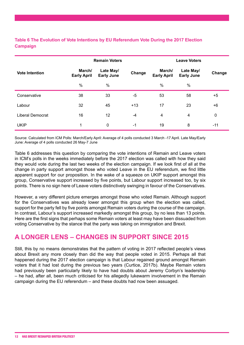#### **Table 6 The Evolution of Vote Intentions by EU Referendum Vote During the 2017 Election Campaign**

|                       |                              | <b>Remain Voters</b>           |        |                              | <b>Leave Voters</b>            |                  |
|-----------------------|------------------------------|--------------------------------|--------|------------------------------|--------------------------------|------------------|
| <b>Vote Intention</b> | March/<br><b>Early April</b> | Late May/<br><b>Early June</b> | Change | March/<br><b>Early April</b> | Late May/<br><b>Early June</b> | Change           |
|                       | $\%$                         | $\frac{0}{0}$                  |        | $\frac{0}{0}$                | $\%$                           |                  |
| Conservative          | 38                           | 33                             | -5     | 53                           | 58                             | $+5$             |
| Labour                | 32                           | 45                             | $+13$  | 17                           | 23                             | $+6$             |
| Liberal Democrat      | 16                           | 12                             | $-4$   | 4                            | 4                              | $\boldsymbol{0}$ |
| <b>UKIP</b>           | 1                            | 0                              | $-1$   | 19                           | 8                              | $-11$            |

Source: Calculated from ICM Polls: March/Early April: Average of 4 polls conducted 3 March -17 April. Late May/Early June: Average of 4 polls conducted 26 May-7 June

Table 6 addresses this question by comparing the vote intentions of Remain and Leave voters in ICM's polls in the weeks immediately before the 2017 election was called with how they said they would vote during the last two weeks of the election campaign. If we look first of all at the change in party support amongst those who voted Leave in the EU referendum, we find little apparent support for our proposition. In the wake of a squeeze on UKIP support amongst this group, Conservative support increased by five points, but Labour support increased too, by six points. There is no sign here of Leave voters distinctively swinging in favour of the Conservatives.

However, a very different picture emerges amongst those who voted Remain. Although support for the Conservatives was already lower amongst this group when the election was called, support for the party fell by five points amongst Remain voters during the course of the campaign. In contrast, Labour's support increased markedly amongst this group, by no less than 13 points. Here are the first signs that perhaps some Remain voters at least may have been dissuaded from voting Conservative by the stance that the party was taking on immigration and Brexit.

## **A LONGER LENS – CHANGES IN SUPPORT SINCE 2015**

Still, this by no means demonstrates that the pattern of voting in 2017 reflected people's views about Brexit any more closely than did the way that people voted in 2015. Perhaps all that happened during the 2017 election campaign is that Labour regained ground amongst Remain voters that it had lost during the previous two years (Curtice, 2017b). Maybe Remain voters had previously been particularly likely to have had doubts about Jeremy Corbyn's leadership – he had, after all, been much criticised for his allegedly lukewarm involvement in the Remain campaign during the EU referendum – and these doubts had now been assuaged.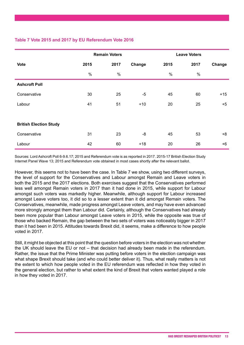#### **Table 7 Vote 2015 and 2017 by EU Referendum Vote 2016**

|                               |      | <b>Remain Voters</b> |        |      | <b>Leave Voters</b> |        |  |
|-------------------------------|------|----------------------|--------|------|---------------------|--------|--|
| <b>Vote</b>                   | 2015 | 2017                 | Change | 2015 | 2017                | Change |  |
|                               | $\%$ | $\%$                 |        | $\%$ | $\%$                |        |  |
| <b>Ashcroft Poll</b>          |      |                      |        |      |                     |        |  |
| Conservative                  | 30   | 25                   | $-5$   | 45   | 60                  | $+15$  |  |
| Labour                        | 41   | 51                   | $+10$  | 20   | 25                  | $+5$   |  |
|                               |      |                      |        |      |                     |        |  |
| <b>British Election Study</b> |      |                      |        |      |                     |        |  |
| Conservative                  | 31   | 23                   | -8     | 45   | 53                  | $+8$   |  |
| Labour                        | 42   | 60                   | $+18$  | 20   | 26                  | $+6$   |  |

Sources: Lord Ashcroft Poll 6-9.6.17; 2015 and Referendum vote is as reported in 2017. 2015-17 British Election Study Internet Panel Wave 13; 2015 and Referendum vote obtained in most cases shortly after the relevant ballot.

However, this seems not to have been the case. In Table 7 we show, using two different surveys, the level of support for the Conservatives and Labour amongst Remain and Leave voters in both the 2015 and the 2017 elections. Both exercises suggest that the Conservatives performed less well amongst Remain voters in 2017 than it had done in 2015, while support for Labour amongst such voters was markedly higher. Meanwhile, although support for Labour increased amongst Leave voters too, it did so to a lesser extent than it did amongst Remain voters. The Conservatives, meanwhile, made progress amongst Leave voters, and may have even advanced more strongly amongst them than Labour did. Certainly, although the Conservatives had already been more popular than Labour amongst Leave voters in 2015, while the opposite was true of those who backed Remain, the gap between the two sets of voters was noticeably bigger in 2017 than it had been in 2015. Attitudes towards Brexit did, it seems, make a difference to how people voted in 2017.

Still, it might be objected at this point that the question before voters in the election was not whether the UK should leave the EU or not – that decision had already been made in the referendum. Rather, the issue that the Prime Minister was putting before voters in the election campaign was what shape Brexit should take (and who could better deliver it). Thus, what really matters is not the extent to which how people voted in the EU referendum was reflected in how they voted in the general election, but rather to what extent the kind of Brexit that voters wanted played a role in how they voted in 2017.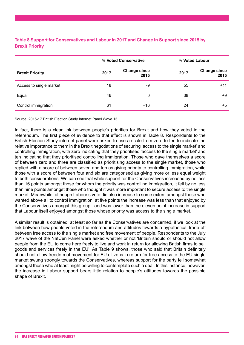|                         |      | % Voted Conservative        |      | % Voted Labour              |  |
|-------------------------|------|-----------------------------|------|-----------------------------|--|
| <b>Brexit Priority</b>  | 2017 | <b>Change since</b><br>2015 | 2017 | <b>Change since</b><br>2015 |  |
| Access to single market | 18   | -9                          | 55   | $+11$                       |  |
| Equal                   | 46   | 0                           | 38   | +9                          |  |
| Control immigration     | 61   | $+16$                       | 24   | $+5$                        |  |

#### **Table 8 Support for Conservatives and Labour in 2017 and Change in Support since 2015 by Brexit Priority**

Source: 2015-17 British Election Study Internet Panel Wave 13

In fact, there is a clear link between people's priorities for Brexit and how they voted in the referendum. The first piece of evidence to that effect is shown in Table 8. Respondents to the British Election Study internet panel were asked to use a scale from zero to ten to indicate the relative importance to them in the Brexit negotiations of securing 'access to the single market' and controlling immigration, with zero indicating that they prioritised 'access to the single market' and ten indicating that they prioritised controlling immigration. Those who gave themselves a score of between zero and three are classified as prioritising access to the single market, those who replied with a score of between seven and ten as giving priority to controlling immigration, while those with a score of between four and six are categorised as giving more or less equal weight to both considerations. We can see that while support for the Conservatives increased by no less than 16 points amongst those for whom the priority was controlling immigration, it fell by no less than nine points amongst those who thought it was more important to secure access to the single market. Meanwhile, although Labour's vote did also increase to some extent amongst those who wanted above all to control immigration, at five points the increase was less than that enjoyed by the Conservatives amongst this group - and was lower than the eleven point increase in support that Labour itself enjoyed amongst those whose priority was access to the single market.

A similar result is obtained, at least so far as the Conservatives are concerned, if we look at the link between how people voted in the referendum and attitudes towards a hypothetical trade-off between free access to the single market and free movement of people. Respondents to the July 2017 wave of the NatCen Panel were asked whether or not 'Britain should or should not allow people from the EU to come here freely to live and work in return for allowing British firms to sell goods and services freely in the EU'. As Table 9 shows, those who said that Britain definitely should not allow freedom of movement for EU citizens in return for free access to the EU single market swung strongly towards the Conservatives, whereas support for the party fell somewhat amongst those who at least might be willing to contemplate such a deal. In this instance, however, the increase in Labour support bears little relation to people's attitudes towards the possible shape of Brexit.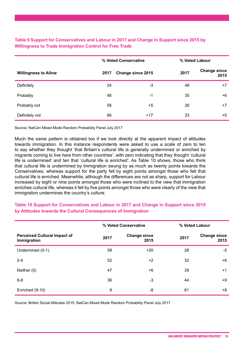#### **Table 9 Support for Conservatives and Labour in 2017 and Change in Support since 2015 by Willingness to Trade Immigration Control for Free Trade**

|                             |      | % Voted Conservative |      | % Voted Labour              |
|-----------------------------|------|----------------------|------|-----------------------------|
| <b>Willingness to Allow</b> | 2017 | Change since 2015    | 2017 | <b>Change since</b><br>2015 |
| Definitely                  | 24   | -3                   | 48   | $+7$                        |
| Probably                    | 48   | $-1$                 | 35   | +6                          |
| Probably not                | 58   | $+5$                 | 26   | $+7$                        |
| Definitely not              | 66   | $+17$                | 23   | +5                          |

Source: NatCen Mixed Mode Random Probability Panel July 2017

Much the same pattern is obtained too if we look directly at the apparent impact of attitudes towards immigration. In this instance respondents were asked to use a scale of zero to ten to say whether they thought 'that Britain's cultural life is generally undermined or enriched by migrants coming to live here from other countries', with zero indicating that they thought 'cultural life is undermined' and ten that 'cultural life is enriched'. As Table 10 shows, those who think that cultural life is undermined by immigration swung by as much as twenty points towards the Conservatives, whereas support for the party fell by eight points amongst those who felt that cultural life is enriched. Meanwhile, although the differences are not as sharp, support for Labour increased by eight or nine points amongst those who were inclined to the view that immigration enriches cultural life, whereas it fell by five points amongst those who were clearly of the view that immigration undermines the country's culture.

# **% Voted Conservative % Voted Labour Perceived Cultural Impact of Immigration <sup>2017</sup> Change since 2017 Change since**<br>2015 **2017 2015 2015** Undermined (0-1) 58 +20 28 -5  $2-4$   $52$   $+2$   $32$   $+6$ Neither (5) 47 +6 39 +1  $6-8$  5-8  $36$   $-3$   $44$   $+9$  $\frac{1}{8}$  Enriched (9-10)  $\frac{9}{8}$   $\frac{1}{8}$   $\frac{61}{8}$   $\frac{1}{8}$

#### **Table 10 Support for Conservatives and Labour in 2017 and Change in Support since 2015 by Attitudes towards the Cultural Consequences of Immigration**

Source: British Social Attitudes 2015; NatCen Mixed Mode Random Probability Panel July 2017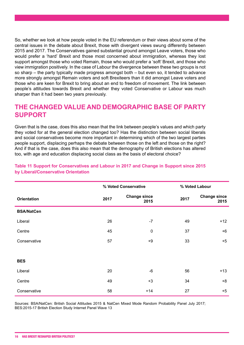So, whether we look at how people voted in the EU referendum or their views about some of the central issues in the debate about Brexit, those with divergent views swung differently between 2015 and 2017. The Conservatives gained substantial ground amongst Leave voters, those who would prefer a 'hard' Brexit and those most concerned about immigration, whereas they lost support amongst those who voted Remain, those who would prefer a 'soft' Brexit, and those who view immigration positively. In the case of Labour the divergence between these two groups is not so sharp – the party typically made progress amongst both – but even so, it tended to advance more strongly amongst Remain voters and soft Brexiteers than it did amongst Leave voters and those who are keen for Brexit to bring about an end to freedom of movement. The link between people's attitudes towards Brexit and whether they voted Conservative or Labour was much sharper than it had been two years previously.

# **THE CHANGED VALUE AND DEMOGRAPHIC BASE OF PARTY SUPPORT**

Given that is the case, does this also mean that the link between people's values and which party they voted for at the general election changed too? Has the distinction between social liberals and social conservatives become more important in determining which of the two largest parties people support, displacing perhaps the debate between those on the left and those on the right? And if that is the case, does this also mean that the demography of British elections has altered too, with age and education displacing social class as the basis of electoral choice?

|                    |      | % Voted Conservative        |      | % Voted Labour              |
|--------------------|------|-----------------------------|------|-----------------------------|
| <b>Orientation</b> | 2017 | <b>Change since</b><br>2015 | 2017 | <b>Change since</b><br>2015 |
| <b>BSA/NatCen</b>  |      |                             |      |                             |
| Liberal            | 26   | $-7$                        | 49   | $+12$                       |
| Centre             | 45   | $\pmb{0}$                   | 37   | $+6$                        |
| Conservative       | 57   | $+9$                        | 33   | $+5$                        |
|                    |      |                             |      |                             |
| <b>BES</b>         |      |                             |      |                             |
| Liberal            | 20   | $-6$                        | 56   | $+13$                       |
| Centre             | 49   | $+3$                        | 34   | $+8$                        |
| Conservative       | 58   | $+14$                       | 27   | $+5$                        |

#### **Table 11 Support for Conservatives and Labour in 2017 and Change in Support since 2015 by Liberal/Conservative Orientation**

Sources: BSA/NatCen: British Social Attitudes 2015 & NatCen Mixed Mode Random Probability Panel July 2017; BES:2015-17 British Election Study Internet Panel Wave 13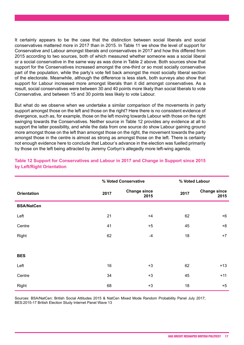It certainly appears to be the case that the distinction between social liberals and social conservatives mattered more in 2017 than in 2015. In Table 11 we show the level of support for Conservative and Labour amongst liberals and conservatives in 2017 and how this differed from 2015 according to two sources, both of which measured whether someone was a social liberal or a social conservative in the same way as was done in Table 2 above. Both sources show that support for the Conservatives increased amongst the one-third or so most socially conservative part of the population, while the party's vote fell back amongst the most socially liberal section of the electorate. Meanwhile, although the difference is less stark, both surveys also show that support for Labour increased more amongst liberals than it did amongst conservatives. As a result, social conservatives were between 30 and 40 points more likely than social liberals to vote Conservative, and between 15 and 30 points less likely to vote Labour.

But what do we observe when we undertake a similar comparison of the movements in party support amongst those on the left and those on the right? Here there is no consistent evidence of divergence, such as, for example, those on the left moving towards Labour with those on the right swinging towards the Conservatives. Neither source in Table 12 provides any evidence at all to support the latter possibility, and while the data from one source do show Labour gaining ground more amongst those on the left than amongst those on the right, the movement towards the party amongst those in the centre is almost as strong as amongst those on the left. There is certainly not enough evidence here to conclude that Labour's advance in the election was fuelled primarily by those on the left being attracted by Jeremy Corbyn's allegedly more left-wing agenda.

|                    |      | % Voted Conservative        | % Voted Labour                      |
|--------------------|------|-----------------------------|-------------------------------------|
| <b>Orientation</b> | 2017 | <b>Change since</b><br>2015 | <b>Change since</b><br>2017<br>2015 |
| <b>BSA/NatCen</b>  |      |                             |                                     |
| Left               | 21   | $+4$                        | 62<br>$+6$                          |
| Centre             | 41   | $+5$                        | $+8$<br>45                          |
| Right              | 62   | $-4$                        | 18<br>$+7$                          |
|                    |      |                             |                                     |
| <b>BES</b>         |      |                             |                                     |
| Left               | 16   | $+3$                        | $+13$<br>62                         |
| Centre             | 34   | $+3$                        | 45<br>$+11$                         |
| Right              | 68   | $+3$                        | 18<br>$+5$                          |

#### **Table 12 Support for Conservatives and Labour in 2017 and Change in Support since 2015 by Left/Right Orientation**

Sources: BSA/NatCen: British Social Attitudes 2015 & NatCen Mixed Mode Random Probability Panel July 2017; BES:2015-17 British Election Study Internet Panel Wave 13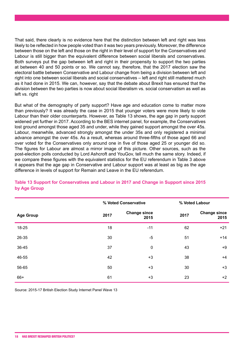That said, there clearly is no evidence here that the distinction between left and right was less likely to be reflected in how people voted than it was two years previously. Moreover, the difference between those on the left and those on the right in their level of support for the Conservatives and Labour is still bigger than the equivalent difference between social liberals and conservatives. Both surveys put the gap between left and right in their propensity to support the two parties at between 40 and 50 points or so. We cannot say, therefore, that the 2017 election saw the electoral battle between Conservative and Labour change from being a division between left and right into one between social liberals and social conservatives – left and right still mattered much as it had done in 2015. We can, however, say that the debate about Brexit has ensured that the division between the two parties is now about social liberalism vs. social conservatism as well as left vs. right

But what of the demography of party support? Have age and education come to matter more than previously? It was already the case in 2015 that younger voters were more likely to vote Labour than their older counterparts. However, as Table 13 shows, the age gap in party support widened yet further in 2017. According to the BES internet panel, for example, the Conservatives lost ground amongst those aged 35 and under, while they gained support amongst the over 45s. Labour, meanwhile, advanced strongly amongst the under 35s and only registered a minimal advance amongst the over 45s. As a result, whereas around three-fifths of those aged 66 and over voted for the Conservatives only around one in five of those aged 25 or younger did so. The figures for Labour are almost a mirror image of this picture. Other sources, such as the post-election polls conducted by Lord Ashcroft and YouGov, tell much the same story. Indeed, if we compare these figures with the equivalent statistics for the EU referendum in Table 3 above it appears that the age gap in Conservative and Labour support was at least as big as the age difference in levels of support for Remain and Leave in the EU referendum.

|                  |      | % Voted Conservative        |      | % Voted Labour              |
|------------------|------|-----------------------------|------|-----------------------------|
| <b>Age Group</b> | 2017 | <b>Change since</b><br>2015 | 2017 | <b>Change since</b><br>2015 |
| 18-25            | 18   | $-11$                       | 62   | $+21$                       |
| 26-35            | 30   | $-5$                        | 51   | $+14$                       |
| 36-45            | 37   | $\mathbf 0$                 | 43   | $+9$                        |
| 46-55            | 42   | $+3$                        | 38   | $+4$                        |
| 56-65            | 50   | $+3$                        | 30   | $+3$                        |
| 66+              | 61   | $+3$                        | 23   | $+2$                        |

#### **Table 13 Support for Conservatives and Labour in 2017 and Change in Support since 2015 by Age Group**

Source: 2015-17 British Election Study Internet Panel Wave 13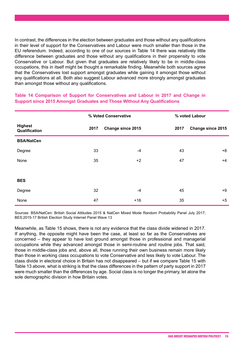In contrast, the differences in the election between graduates and those without any qualifications in their level of support for the Conservatives and Labour were much smaller than those in the EU referendum. Indeed, according to one of our sources in Table 14 there was relatively little difference between graduates and those without any qualifications in their propensity to vote Conservative or Labour. But given that graduates are relatively likely to be in middle-class occupations, this in itself might be thought a remarkable finding. Meanwhile both sources agree that the Conservatives lost support amongst graduates while gaining it amongst those without any qualifications at all. Both also suggest Labour advanced more strongly amongst graduates than amongst those without any qualifications.

**Table 14 Comparison of Support for Conservatives and Labour in 2017 and Change in Support since 2015 Amongst Graduates and Those Without Any Qualifications**

|                                 | % Voted Conservative |                          |      | % voted Labour           |  |
|---------------------------------|----------------------|--------------------------|------|--------------------------|--|
| <b>Highest</b><br>Qualification | 2017                 | <b>Change since 2015</b> | 2017 | <b>Change since 2015</b> |  |
| <b>BSA/NatCen</b>               |                      |                          |      |                          |  |
| Degree                          | 33                   | $-4$                     | 43   | $+8$                     |  |
| None                            | 35                   | $+2$                     | 47   | $+4$                     |  |
|                                 |                      |                          |      |                          |  |
| <b>BES</b>                      |                      |                          |      |                          |  |
| Degree                          | 32                   | $-4$                     | 45   | $+9$                     |  |
| None                            | 47                   | $+16$                    | 35   | $+5$                     |  |

Sources: BSA/NatCen: British Social Attitudes 2015 & NatCen Mixed Mode Random Probability Panel July 2017; BES:2015-17 British Election Study Internet Panel Wave 13

Meanwhile, as Table 15 shows, there is not any evidence that the class divide widened in 2017. If anything, the opposite might have been the case, at least so far as the Conservatives are concerned – they appear to have lost ground amongst those in professional and managerial occupations while they advanced amongst those in semi-routine and routine jobs. That said, those in middle-class jobs and, above all, those running their own business remain more likely than those in working class occupations to vote Conservative and less likely to vote Labour. The class divide in electoral choice in Britain has not disappeared – but if we compare Table 15 with Table 13 above, what is striking is that the class differences in the pattern of party support in 2017 were much smaller than the differences by age. Social class is no longer the primary, let alone the sole demographic division in how Britain votes.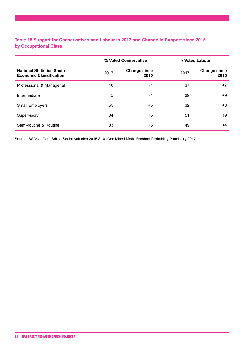#### **Table 15 Support for Conservatives and Labour in 2017 and Change in Support since 2015 by Occupational Class**

|                                                                     | % Voted Conservative |                             |      | % Voted Labour              |  |
|---------------------------------------------------------------------|----------------------|-----------------------------|------|-----------------------------|--|
| <b>National Statistics Socio-</b><br><b>Economic Classification</b> | 2017                 | <b>Change since</b><br>2015 | 2017 | <b>Change since</b><br>2015 |  |
| Professional & Managerial                                           | 40                   | -4                          | 37   | $+7$                        |  |
| Intermediate                                                        | 45                   | -1                          | 39   | +9                          |  |
| <b>Small Employers</b>                                              | 55                   | $+5$                        | 32   | +8                          |  |
| Supervisory                                                         | 34                   | $+5$                        | 51   | $+19$                       |  |
| Semi-routine & Routine                                              | 33                   | $+5$                        | 49   | $+4$                        |  |

Source: BSA/NatCen: British Social Attitudes 2015 & NatCen Mixed Mode Random Probability Panel July 2017.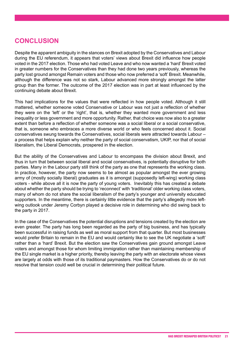# **CONCLUSION**

Despite the apparent ambiguity in the stances on Brexit adopted by the Conservatives and Labour during the EU referendum, it appears that voters' views about Brexit did influence how people voted in the 2017 election. Those who had voted Leave and who now wanted a 'hard' Brexit voted in greater numbers for the Conservatives than they had done two years previously, whereas the party lost ground amongst Remain voters and those who now preferred a 'soft' Brexit. Meanwhile, although the difference was not so stark, Labour advanced more strongly amongst the latter group than the former. The outcome of the 2017 election was in part at least influenced by the continuing debate about Brexit.

This had implications for the values that were reflected in how people voted. Although it still mattered, whether someone voted Conservative or Labour was not just a reflection of whether they were on the 'left' or the 'right', that is, whether they wanted more government and less inequality or less government and more opportunity. Rather, that choice was now also to a greater extent than before a reflection of whether someone was a social liberal or a social conservative, that is, someone who embraces a more diverse world or who feels concerned about it. Social conservatives swung towards the Conservatives, social liberals were attracted towards Labour – a process that helps explain why neither the party of social conservatism, UKIP, nor that of social liberalism, the Liberal Democrats, prospered in the election.

But the ability of the Conservatives and Labour to encompass the division about Brexit, and thus in turn that between social liberal and social conservatives, is potentially disruptive for both parties. Many in the Labour party still think of the party as one that represents the working class. In practice, however, the party now seems to be almost as popular amongst the ever growing army of (mostly socially liberal) graduates as it is amongst (supposedly left-wing) working class voters - while above all it is now the party of young voters. Inevitably this has created a debate about whether the party should be trying to 'reconnect' with 'traditional' older working class voters, many of whom do not share the social liberalism of the party's younger and university educated supporters. In the meantime, there is certainly little evidence that the party's allegedly more leftwing outlook under Jeremy Corbyn played a decisive role in determining who did swing back to the party in 2017.

In the case of the Conservatives the potential disruptions and tensions created by the election are even greater. The party has long been regarded as the party of big business, and has typically been successful in raising funds as well as moral support from that quarter. But most businesses would prefer Britain to remain in the EU and would certainly like to see the UK negotiate a 'soft' rather than a 'hard' Brexit. But the election saw the Conservatives gain ground amongst Leave voters and amongst those for whom limiting immigration rather than maintaining membership of the EU single market is a higher priority, thereby leaving the party with an electorate whose views are largely at odds with those of its traditional paymasters. How the Conservatives do or do not resolve that tension could well be crucial in determining their political future.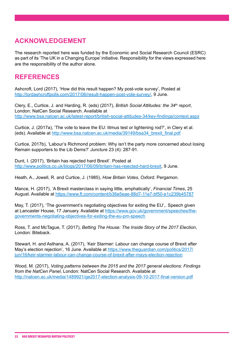# **ACKNOWLEDGEMENT**

The research reported here was funded by the Economic and Social Research Council (ESRC) as part of its 'The UK in a Changing Europe' initiative. Responsibility for the views expressed here are the responsibility of the author alone.

# **REFERENCES**

Ashcroft, Lord (2017), 'How did this result happen? My post-vote survey', Posted at <http://lordashcroftpolls.com/2017/06/result-happen-post-vote-survey/>, 9 June.

Clery, E., Curtice, J. and Harding, R. (eds) (2017), *British Social Attitudes: the 34th report*, London: NatCen Social Research. Available at <http://www.bsa.natcen.ac.uk/latest-report/british-social-attitudes-34/key-findings/context.aspx>

Curtice, J. (2017a), 'The vote to leave the EU: litmus test or lightening rod?', in Clery et al. (eds). Available at [http://www.bsa.natcen.ac.uk/media/39149/bsa34\\_brexit\\_final.pdf](http://www.bsa.natcen.ac.uk/media/39149/bsa34_brexit_final.pdf)

Curtice, 2017b), 'Labour's Richmond problem: Why isn't the party more concerned about losing Remain supporters to the Lib Dems?' *Juncture* 23 (4): 287-91.

Dunt, I. (2017), 'Britain has rejected hard Brexit'. Posted at <http://www.politics.co.uk/blogs/2017/06/09/britain-has-rejected-hard-brexit>, 9 June.

Heath, A., Jowell, R. and Curtice, J. (1985), *How Britain Votes*, Oxford: Pergamon.

Mance, H. (2017), 'A Brexit masterclass in saying little, emphatically', *Financial Times*, 25 August. Available at <https://www.ft.com/content/b36e5eae-88d7-11e7-bf50-e1c239b45787>

May, T. (2017), 'The government's negotiating objectives for exiting the EU',. Speech given at Lancaster House, 17 January. Available at [https://www.gov.uk/government/speeches/the](https://www.gov.uk/government/speeches/the-governments-negotiating-objectives-for-exiting-the-eu-pm-speech)[governments-negotiating-objectives-for-exiting-the-eu-pm-speech](https://www.gov.uk/government/speeches/the-governments-negotiating-objectives-for-exiting-the-eu-pm-speech)

Ross, T. and McTague, T. (2017), *Betting The House: The Inside Story of the 2017 Election*, London: Biteback.

Stewart, H. and Asthana, A. (2017), 'Keir Starmer: Labour can change course of Brexit after May's election rejection', 16 June. Available at [https://www.theguardian.com/politics/2017/](https://www.theguardian.com/politics/2017/jun/16/keir-starmer-labour-can-change-course-of-brexit-after-mays-election-rejection) [jun/16/keir-starmer-labour-can-change-course-of-brexit-after-mays-election-rejection](https://www.theguardian.com/politics/2017/jun/16/keir-starmer-labour-can-change-course-of-brexit-after-mays-election-rejection)

Wood, M. (2017), *Voting patterns between the 2015 and the 2017 general elections: Findings from the NatCen Panel*, London: NatCen Social Research. Available at <http://natcen.ac.uk/media/1489921/ge2017-election-analysis-09-10-2017-final-version.pdf>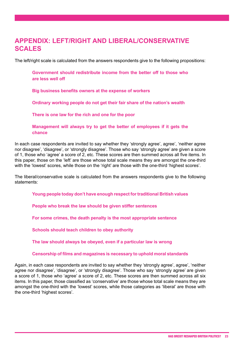# **APPENDIX: LEFT/RIGHT AND LIBERAL/CONSERVATIVE SCALES**

The left/right scale is calculated from the answers respondents give to the following propositions:

**Government should redistribute income from the better off to those who are less well off** 

**Big business benefits owners at the expense of workers** 

**Ordinary working people do not get their fair share of the nation's wealth**

**There is one law for the rich and one for the poor**

**Management will always try to get the better of employees if it gets the chance** 

In each case respondents are invited to say whether they 'strongly agree', agree', 'neither agree nor disagree', 'disagree', or 'strongly disagree'. Those who say 'strongly agree' are given a score of 1, those who 'agree' a score of 2, etc. These scores are then summed across all five items. In this paper, those on the 'left' are those whose total scale means they are amongst the one-third with the 'lowest' scores, while those on the 'right' are those with the one-third 'highest scores'.

The liberal/conservative scale is calculated from the answers respondents give to the following statements:

**Young people today don't have enough respect for traditional British values**

**People who break the law should be given stiffer sentences** 

**For some crimes, the death penalty is the most appropriate sentence**

**Schools should teach children to obey authority**

**The law should always be obeyed, even if a particular law is wrong**

**Censorship of films and magazines is necessary to uphold moral standards**

Again, in each case respondents are invited to say whether they 'strongly agree', agree', 'neither agree nor disagree', 'disagree', or 'strongly disagree'. Those who say 'strongly agree' are given a score of 1, those who 'agree' a score of 2, etc. These scores are then summed across all six items. In this paper, those classified as 'conservative' are those whose total scale means they are amongst the one-third with the 'lowest' scores, while those categories as 'liberal' are those with the one-third 'highest scores'.